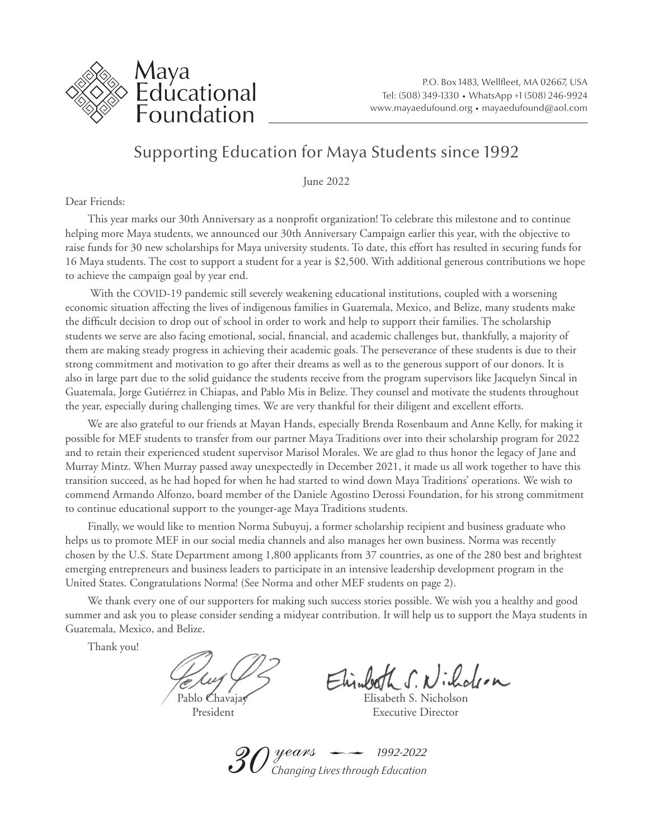

## Supporting Education for Maya Students since 1992

June 2022

Dear Friends:

This year marks our 30th Anniversary as a nonprofit organization! To celebrate this milestone and to continue helping more Maya students, we announced our 30th Anniversary Campaign earlier this year, with the objective to raise funds for 30 new scholarships for Maya university students. To date, this effort has resulted in securing funds for 16 Maya students. The cost to support a student for a year is \$2,500. With additional generous contributions we hope to achieve the campaign goal by year end.

 With the COVID-19 pandemic still severely weakening educational institutions, coupled with a worsening economic situation affecting the lives of indigenous families in Guatemala, Mexico, and Belize, many students make the difficult decision to drop out of school in order to work and help to support their families. The scholarship students we serve are also facing emotional, social, financial, and academic challenges but, thankfully, a majority of them are making steady progress in achieving their academic goals. The perseverance of these students is due to their strong commitment and motivation to go after their dreams as well as to the generous support of our donors. It is also in large part due to the solid guidance the students receive from the program supervisors like Jacquelyn Sincal in Guatemala, Jorge Gutiérrez in Chiapas, and Pablo Mis in Belize. They counsel and motivate the students throughout the year, especially during challenging times. We are very thankful for their diligent and excellent efforts.

We are also grateful to our friends at Mayan Hands, especially Brenda Rosenbaum and Anne Kelly, for making it possible for MEF students to transfer from our partner Maya Traditions over into their scholarship program for 2022 and to retain their experienced student supervisor Marisol Morales. We are glad to thus honor the legacy of Jane and Murray Mintz. When Murray passed away unexpectedly in December 2021, it made us all work together to have this transition succeed, as he had hoped for when he had started to wind down Maya Traditions' operations. We wish to commend Armando Alfonzo, board member of the Daniele Agostino Derossi Foundation, for his strong commitment to continue educational support to the younger-age Maya Traditions students.

Finally, we would like to mention Norma Subuyuj, a former scholarship recipient and business graduate who helps us to promote MEF in our social media channels and also manages her own business. Norma was recently chosen by the U.S. State Department among 1,800 applicants from 37 countries, as one of the 280 best and brightest emerging entrepreneurs and business leaders to participate in an intensive leadership development program in the United States. Congratulations Norma! (See Norma and other MEF students on page 2).

We thank every one of our supporters for making such success stories possible. We wish you a healthy and good summer and ask you to please consider sending a midyear contribution. It will help us to support the Maya students in Guatemala, Mexico, and Belize.

Thank you!

Pablo Chavajay Elisabeth S. Nicholson

Elisabeth S. Nicholson

President Executive Director

 $\mathscr{S}0$  years  $\rightharpoonup$ *Changing Lives through Education 1992-2022*